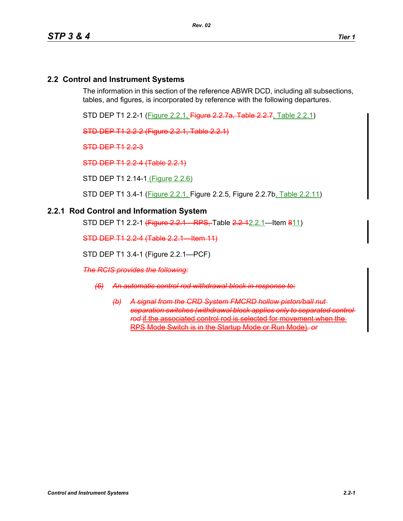## **2.2 Control and Instrument Systems**

The information in this section of the reference ABWR DCD, including all subsections, tables, and figures, is incorporated by reference with the following departures.

STD DEP T1 2.2-1 (Figure 2.2.1, Figure 2.2.7a, Table 2.2.7, Table 2.2.1)

STD DEP T1 2.2-2 (Figure 2.2.1, Table 2.2.1)

STD DEP T1 2.2-3

STD DEP T1 2.2-4 (Table 2.2.1)

STD DEP T1 2.14-1 (Figure 2.2.6)

STD DEP T1 3.4-1 (Figure 2.2.1, Figure 2.2.5, Figure 2.2.7b, Table 2.2.11)

#### **2.2.1 Rod Control and Information System**

STD DEP T1 2.2-1 (Figure 2.2.1 RPS, Table 2.2-12.2.1 - Item 811)

STD DEP T1 2.2-4 (Table 2.2.1—Item 11)

STD DEP T1 3.4-1 (Figure 2.2.1—PCF)

*The RCIS provides the following:*

- *(6) An automatic control rod withdrawal block in response to:*
	- *(b) A signal from the CRD System FMCRD hollow piston/ball nut separation switches (withdrawal block applies only to separated control rod* if the associated control rod is selected for movement when the RPS Mode Switch is in the Startup Mode or Run Mode)*, or*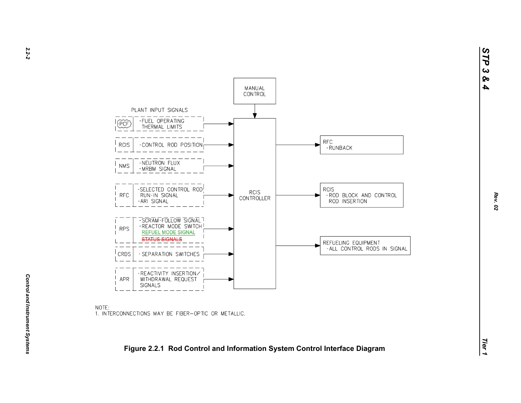*STP 3 & 4*



NOTE: 1. INTERCONNECTIONS MAY BE FIBER-OPTIC OR METALLIC.

# *Tier 1***Figure 2.2.1 Rod Control and Information System Control Interface Diagram**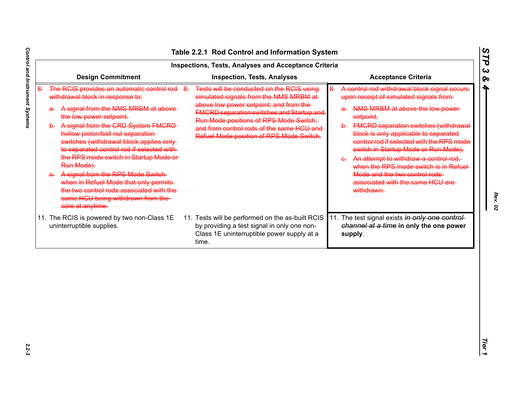|                                                                                                                                                                                                                                                                                                                                                                                                                                                                                                                                                                               | <b>Inspections, Tests, Analyses and Acceptance Criteria</b>                                                                                                                                                                                                                                                             |                                                                                                                                                                                                                                                                                                                                                                                                                                                                                                                                                |  |  |  |
|-------------------------------------------------------------------------------------------------------------------------------------------------------------------------------------------------------------------------------------------------------------------------------------------------------------------------------------------------------------------------------------------------------------------------------------------------------------------------------------------------------------------------------------------------------------------------------|-------------------------------------------------------------------------------------------------------------------------------------------------------------------------------------------------------------------------------------------------------------------------------------------------------------------------|------------------------------------------------------------------------------------------------------------------------------------------------------------------------------------------------------------------------------------------------------------------------------------------------------------------------------------------------------------------------------------------------------------------------------------------------------------------------------------------------------------------------------------------------|--|--|--|
| <b>Design Commitment</b>                                                                                                                                                                                                                                                                                                                                                                                                                                                                                                                                                      | <b>Inspection, Tests, Analyses</b>                                                                                                                                                                                                                                                                                      | <b>Acceptance Criteria</b>                                                                                                                                                                                                                                                                                                                                                                                                                                                                                                                     |  |  |  |
| The RCIS provides an automatic control rod 8.<br>withdrawal block in response to:<br>a. A signal from the NMS MRBM at above-<br>the low power setpoint.<br>b. A signal from the CRD System FMCRD-<br>hollow piston/ball nut separation-<br>switches (withdrawal block applies only-<br>to separated control rod if selected with-<br>the RPS mode switch in Startup Mode or<br>Run Mode).<br>A signal from the RPS Mode Switch<br>when in Refuel Mode that only permits<br>the two control rods associated with the<br>same HCU being withdrawn from the-<br>core at anytime. | Tests will be conducted on the RCIS using-<br>simulated signals from the NMS MRBM at-<br>above low power setpoint; and from the-<br><b>FMCRD separation switches and Startup and</b><br>Run Mode positions of RPS Mode Switch;<br>and from control rods of the same HCU and<br>Refuel Mode position of RPS Mode Switch. | A control rod withdrawal block signal occurs<br><del>8.</del><br>upon receipt of simulated signals from:<br>NMS MRBM at above the low power-<br>a÷<br>setpoint,<br><b>FMCRD separation switches (withdrawal-</b><br>b÷.<br>block is only applicable to separated-<br>control rod if selected with the RPS mode<br>switch in Startup Mode or Run Mode),<br>An attempt to withdraw a control rod,<br>$\mathbf{e}_r$<br>when the RPS mode switch is in Refuel-<br>Mode and the two control rods<br>associated with the same HCU are<br>withdrawn. |  |  |  |
| 11. The RCIS is powered by two non-Class 1E<br>uninterruptible supplies.                                                                                                                                                                                                                                                                                                                                                                                                                                                                                                      | 11. Tests will be performed on the as-built RCIS<br>by providing a test signal in only one non-<br>Class 1E uninterruptible power supply at a<br>time.                                                                                                                                                                  | 11. The test signal exists in only one control-<br>channel at a time in only the one power<br>supply.                                                                                                                                                                                                                                                                                                                                                                                                                                          |  |  |  |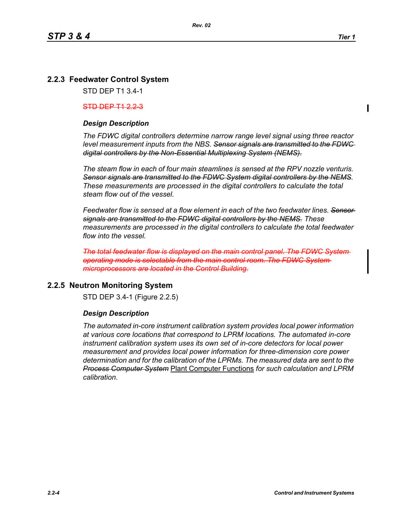# **2.2.3 Feedwater Control System**

STD DEP T1 3.4-1

#### $STD$  DEP  $T1$  223

## *Design Description*

*The FDWC digital controllers determine narrow range level signal using three reactor level measurement inputs from the NBS. Sensor signals are transmitted to the FDWC digital controllers by the Non-Essential Multiplexing System (NEMS).*

*The steam flow in each of four main steamlines is sensed at the RPV nozzle venturis. Sensor signals are transmitted to the FDWC System digital controllers by the NEMS. These measurements are processed in the digital controllers to calculate the total steam flow out of the vessel.*

*Feedwater flow is sensed at a flow element in each of the two feedwater lines. Sensor signals are transmitted to the FDWC digital controllers by the NEMS. These measurements are processed in the digital controllers to calculate the total feedwater flow into the vessel.*

*The total feedwater flow is displayed on the main control panel. The FDWC System operating mode is selectable from the main control room. The FDWC System microprocessors are located in the Control Building.*

# **2.2.5 Neutron Monitoring System**

STD DEP 3.4-1 (Figure 2.2.5)

## *Design Description*

*The automated in-core instrument calibration system provides local power information at various core locations that correspond to LPRM locations. The automated in-core instrument calibration system uses its own set of in-core detectors for local power measurement and provides local power information for three-dimension core power determination and for the calibration of the LPRMs. The measured data are sent to the Process Computer System* Plant Computer Functions *for such calculation and LPRM calibration*.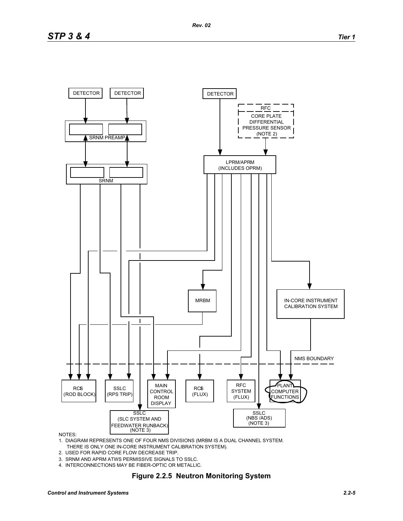

NOTES:

- 1. DIAGRAM REPRESENTS ONE OF FOUR NMS DIVISIONS (MRBM IS A DUAL CHANNEL SYSTEM. THERE IS ONLY ONE IN-CORE INSTRUMENT CALIBRATION SYSTEM).
- 2. USED FOR RAPID CORE FLOW DECREASE TRIP.
- 3. SRNM AND APRM ATWS PERMISSIVE SIGNALS TO SSLC.
- 4. INTERCONNECTIONS MAY BE FIBER-OPTIC OR METALLIC.

#### **Figure 2.2.5 Neutron Monitoring System**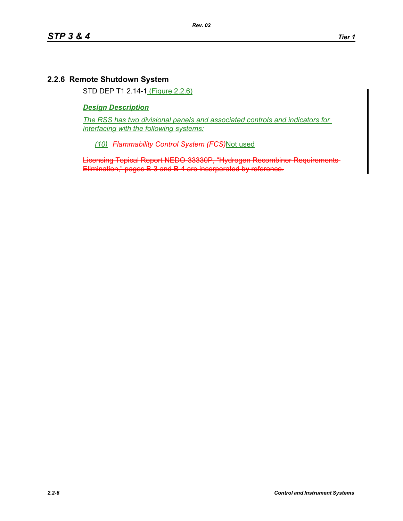# **2.2.6 Remote Shutdown System**

STD DEP T1 2.14-1 (Figure 2.2.6)

## *Design Description*

*The RSS has two divisional panels and associated controls and indicators for interfacing with the following systems:*

*(10) Flammability Control System (FCS)*Not used

Licensing Topical Report NEDO-33330P, "Hydrogen Recombiner Requirements Elimination," pages B-3 and B-4 are incorporated by reference.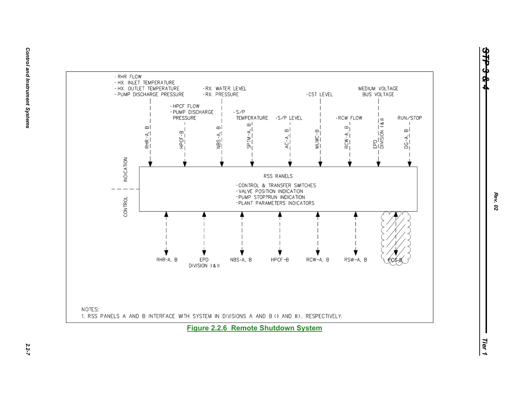

*Rev. 02*

*STP 3 & 4*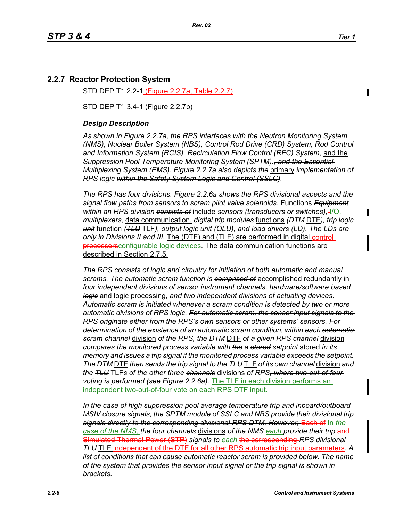## **2.2.7 Reactor Protection System**

STD DEP T1 2.2-1<del>(Figure 2.2</del>

STD DEP T1 3.4-1 (Figure 2.2.7b)

#### *Design Description*

*As shown in Figure 2.2.7a, the RPS interfaces with the Neutron Monitoring System (NMS), Nuclear Boiler System (NBS), Control Rod Drive (CRD) System, Rod Control and Information System (RCIS), Recirculation Flow Control (RFC) System,* and the *Suppression Pool Temperature Monitoring System (SPTM)*.*, and the Essential Multiplexing System (EMS). Figure 2.2.7a also depicts the* primary *implementation of RPS logic within the Safety System Logic and Control (SSLC).*

*The RPS has four divisions. Figure 2.2.6a shows the RPS divisional aspects and the signal flow paths from sensors to scram pilot valve solenoids.* Functions *Equipment within an RPS division consists of* include *sensors (transducers or switches)*, I/O, *multiplexers,* data communication, *digital trip modules* functions *(DTM* DTF*), trip logic unit* function *(TLU* TLF*), output logic unit (OLU), and load drivers (LD). The LDs are only in Divisions II and III.* The (DTF) and (TLF) are performed in digital control**processors** configurable logic devices. The data communication functions are described in Section 2.7.5.

*The RPS consists of logic and circuitry for initiation of both automatic and manual scrams. The automatic scram function is comprised of* accomplished redundantly in *four independent divisions of sensor instrument channels, hardware/software based logic* and logic processing, *and two independent divisions of actuating devices. Automatic scram is initiated whenever a scram condition is detected by two or more automatic divisions of RPS logic. For automatic scram, the sensor input signals to the RPS originate either from the RPS's own sensors or other systems' sensors. For determination of the existence of an automatic scram condition, within each automatic scram channel* division *of the RPS, the DTM* DTF *of a given RPS channel* division *compares the monitored process variable with the* a *stored setpoint* stored *in its memory and issues a trip signal if the monitored process variable exceeds the setpoint. The DTM* DTF *then sends the trip signal to the TLU* TLF *of its own channel* division *and the TLU* TLF*s of the other three channels* divisions *of RPS, where two-out-of-four voting is performed (see Figure 2.2.6a).* The TLF in each division performs an independent two-out-of-four vote on each RPS DTF input.

*In the case of high suppression pool average temperature trip and inboard/outboard MSIV closure signals, the SPTM module of SSLC and NBS provide their divisional trip signals directly to the corresponding divisional RPS DTM. However, Each of In the case of the NMS, the four channels* divisions *of the NMS each provide their trip* and Simulated Thermal Power (STP) *signals to each* the corresponding *RPS divisional TLU* TLF independent of the DTF for all other RPS automatic trip input list of conditions that can cause automatic reactor scram is provided below. The name *of the system that provides the sensor input signal or the trip signal is shown in brackets.*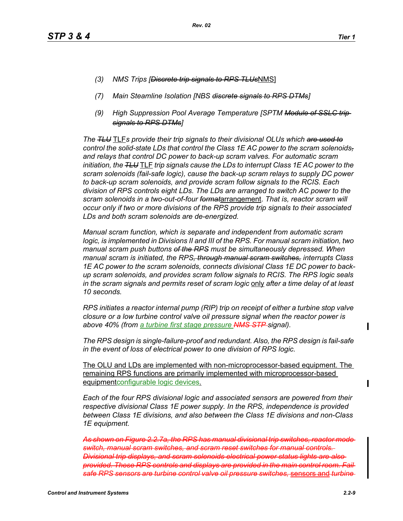- *(3) NMS Trips [Discrete trip signals to RPS TLUs*NMS]
- *(7) Main Steamline Isolation [NBS discrete signals to RPS DTMs]*

*Rev. 02*

*(9) High Suppression Pool Average Temperature [SPTM Module of SSLC trip signals to RPS DTMs]*

*The TLU* TLF*s provide their trip signals to their divisional OLUs which are used to control the solid-state LDs that control the Class 1E AC power to the scram solenoids, and relays that control DC power to back-up scram valves. For automatic scram initiation, the TLU* TLF *trip signals cause the LDs to interrupt Class 1E AC power to the scram solenoids (fail-safe logic), cause the back-up scram relays to supply DC power to back-up scram solenoids, and provide scram follow signals to the RCIS. Each division of RPS controls eight LDs. The LDs are arranged to switch AC power to the scram solenoids in a two-out-of-four format*arrangement. *That is, reactor scram will occur only if two or more divisions of the RPS provide trip signals to their associated LDs and both scram solenoids are de-energized.*

*Manual scram function, which is separate and independent from automatic scram logic, is implemented in Divisions II and III of the RPS. For manual scram initiation, two manual scram push buttons of the RPS must be simultaneously depressed. When manual scram is initiated, the RPS, through manual scram switches, interrupts Class 1E AC power to the scram solenoids, connects divisional Class 1E DC power to backup scram solenoids, and provides scram follow signals to RCIS. The RPS logic seals in the scram signals and permits reset of scram logic* only *after a time delay of at least 10 seconds.*

*RPS initiates a reactor internal pump (RIP) trip on receipt of either a turbine stop valve closure or a low turbine control valve oil pressure signal when the reactor power is above 40% (from a turbine first stage pressure NMS STP signal).*

*The RPS design is single-failure-proof and redundant. Also, the RPS design is fail-safe in the event of loss of electrical power to one division of RPS logic.*

The OLU and LDs are implemented with non-microprocessor-based equipment. The remaining RPS functions are primarily implemented with microprocessor-based equipmentconfigurable logic devices.

*Each of the four RPS divisional logic and associated sensors are powered from their respective divisional Class 1E power supply. In the RPS, independence is provided between Class 1E divisions, and also between the Class 1E divisions and non-Class 1E equipment.*

*As shown on Figure 2.2.7a, the RPS has manual divisional trip switches, reactor mode switch, manual scram switches, and scram reset switches for manual controls. Divisional trip displays, and scram solenoids electrical power status lights are also provided. These RPS controls and displays are provided in the main control room. F safe RPS sensors are turbine control valve oil pressure switches,* sensors and *turbine* 

 $\mathbf I$ 

Π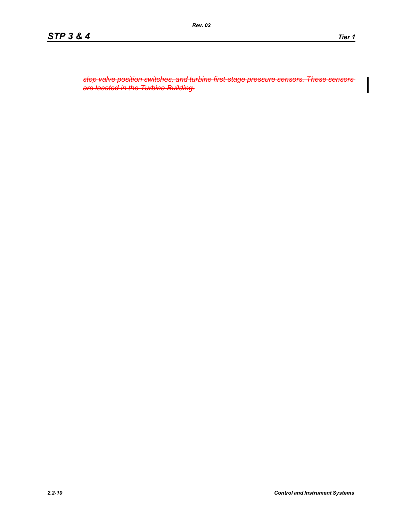*stop valve position switches, and turbine first-stage pressure sensors. These sensors are located in the Turbine Building.*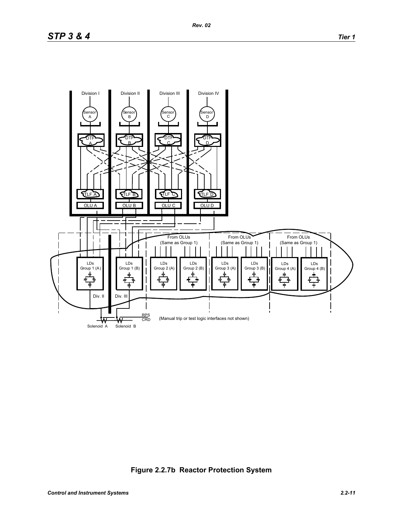

**Figure 2.2.7b Reactor Protection System**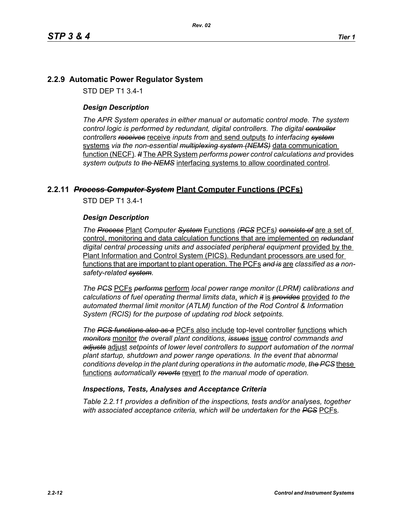## **2.2.9 Automatic Power Regulator System**

STD DEP T1 3.4-1

## *Design Description*

*The APR System operates in either manual or automatic control mode. The system control logic is performed by redundant, digital controllers. The digital controller controllers receives* receive *inputs from* and send outputs *to interfacing system* systems *via the non-essential multiplexing system (NEMS)* data communication function (NECF)*. It* The APR System *performs power control calculations and* provides *system outputs to the NEMS* interfacing systems to allow coordinated control*.*

## **2.2.11** *Process Computer System* **Plant Computer Functions (PCFs)**

STD DEP T1 3.4-1

#### *Design Description*

*The Process* Plant *Computer System* Functions *(PCS* PCFs*) consists of* are a set of control, monitoring and data calculation functions that are implemented on *redundant* digital central processing units and associated peripheral equipment provided by the Plant Information and Control System (PICS). Redundant processors are used for functions that are important to plant operation. The PCFs *and is* are *classified as a nonsafety-related system.*

*The PCS* PCFs *performs* perform *local power range monitor (LPRM) calibrations and calculations of fuel operating thermal limits data*, *which it* is *provides* provided *to the automated thermal limit monitor (ATLM) function of the Rod Control & Information System (RCIS) for the purpose of updating rod block setpoints.*

*The PCS functions also as a* PCFs also include top-level controller functions which *monitors* monitor *the overall plant conditions, issues* issue *control commands and adjusts* adjust *setpoints of lower level controllers to support automation of the normal plant startup, shutdown and power range operations. In the event that abnormal conditions develop in the plant during operations in the automatic mode, the PCS* these functions *automatically reverts* revert *to the manual mode of operation.*

#### *Inspections, Tests, Analyses and Acceptance Criteria*

*Table 2.2.11 provides a definition of the inspections, tests and/or analyses, together with associated acceptance criteria, which will be undertaken for the PCS* PCFs*.*